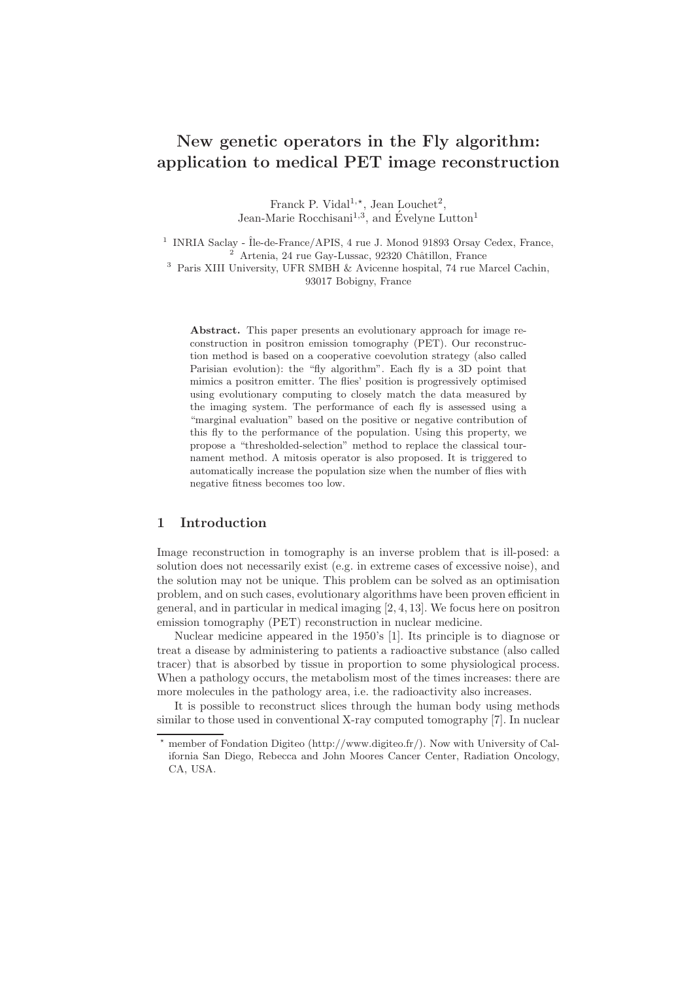# New genetic operators in the Fly algorithm: application to medical PET image reconstruction

Franck P. Vidal<sup>1,\*</sup>, Jean Louchet<sup>2</sup>, Jean-Marie Rocchisani<sup>1,3</sup>, and Évelyne Lutton<sup>1</sup>

<sup>1</sup> INRIA Saclay - Île-de-France/APIS, 4 rue J. Monod 91893 Orsay Cedex, France, Artenia, 24 rue Gay-Lussac, 92320 Châtillon, France

<sup>3</sup> Paris XIII University, UFR SMBH & Avicenne hospital, 74 rue Marcel Cachin, 93017 Bobigny, France

Abstract. This paper presents an evolutionary approach for image reconstruction in positron emission tomography (PET). Our reconstruction method is based on a cooperative coevolution strategy (also called Parisian evolution): the "fly algorithm". Each fly is a 3D point that mimics a positron emitter. The flies' position is progressively optimised using evolutionary computing to closely match the data measured by the imaging system. The performance of each fly is assessed using a "marginal evaluation" based on the positive or negative contribution of this fly to the performance of the population. Using this property, we propose a "thresholded-selection" method to replace the classical tournament method. A mitosis operator is also proposed. It is triggered to automatically increase the population size when the number of flies with negative fitness becomes too low.

## 1 Introduction

Image reconstruction in tomography is an inverse problem that is ill-posed: a solution does not necessarily exist (e.g. in extreme cases of excessive noise), and the solution may not be unique. This problem can be solved as an optimisation problem, and on such cases, evolutionary algorithms have been proven efficient in general, and in particular in medical imaging [2, 4, 13]. We focus here on positron emission tomography (PET) reconstruction in nuclear medicine.

Nuclear medicine appeared in the 1950's [1]. Its principle is to diagnose or treat a disease by administering to patients a radioactive substance (also called tracer) that is absorbed by tissue in proportion to some physiological process. When a pathology occurs, the metabolism most of the times increases: there are more molecules in the pathology area, i.e. the radioactivity also increases.

It is possible to reconstruct slices through the human body using methods similar to those used in conventional X-ray computed tomography [7]. In nuclear

 $\star$  member of Fondation Digiteo (http://www.digiteo.fr/). Now with University of California San Diego, Rebecca and John Moores Cancer Center, Radiation Oncology, CA, USA.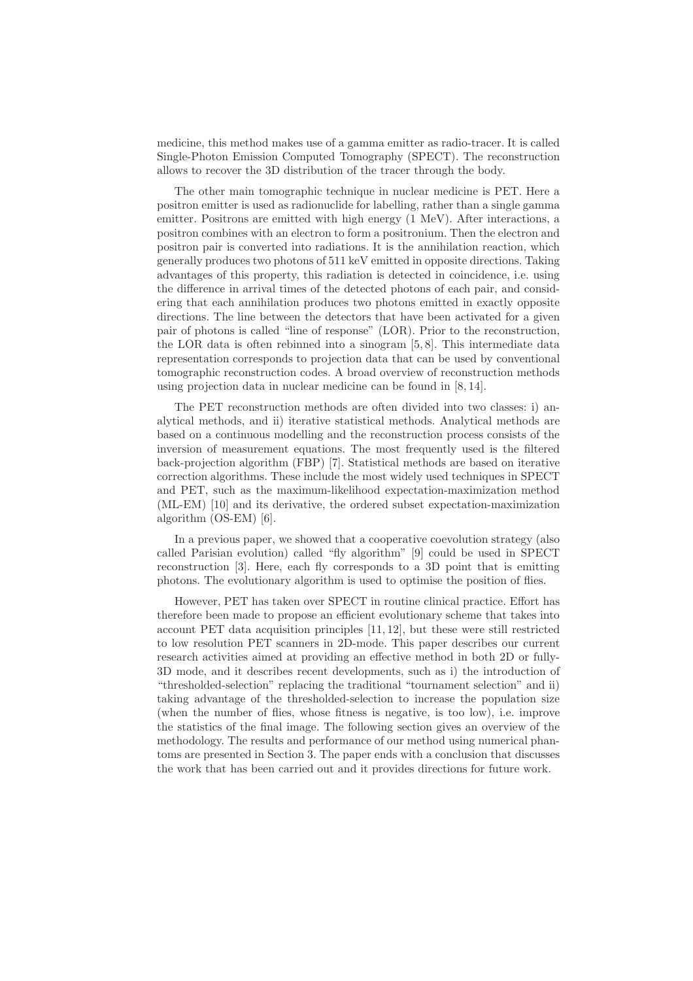medicine, this method makes use of a gamma emitter as radio-tracer. It is called Single-Photon Emission Computed Tomography (SPECT). The reconstruction allows to recover the 3D distribution of the tracer through the body.

The other main tomographic technique in nuclear medicine is PET. Here a positron emitter is used as radionuclide for labelling, rather than a single gamma emitter. Positrons are emitted with high energy (1 MeV). After interactions, a positron combines with an electron to form a positronium. Then the electron and positron pair is converted into radiations. It is the annihilation reaction, which generally produces two photons of 511 keV emitted in opposite directions. Taking advantages of this property, this radiation is detected in coincidence, i.e. using the difference in arrival times of the detected photons of each pair, and considering that each annihilation produces two photons emitted in exactly opposite directions. The line between the detectors that have been activated for a given pair of photons is called "line of response" (LOR). Prior to the reconstruction, the LOR data is often rebinned into a sinogram [5, 8]. This intermediate data representation corresponds to projection data that can be used by conventional tomographic reconstruction codes. A broad overview of reconstruction methods using projection data in nuclear medicine can be found in [8, 14].

The PET reconstruction methods are often divided into two classes: i) analytical methods, and ii) iterative statistical methods. Analytical methods are based on a continuous modelling and the reconstruction process consists of the inversion of measurement equations. The most frequently used is the filtered back-projection algorithm (FBP) [7]. Statistical methods are based on iterative correction algorithms. These include the most widely used techniques in SPECT and PET, such as the maximum-likelihood expectation-maximization method (ML-EM) [10] and its derivative, the ordered subset expectation-maximization algorithm (OS-EM) [6].

In a previous paper, we showed that a cooperative coevolution strategy (also called Parisian evolution) called "fly algorithm" [9] could be used in SPECT reconstruction [3]. Here, each fly corresponds to a 3D point that is emitting photons. The evolutionary algorithm is used to optimise the position of flies.

However, PET has taken over SPECT in routine clinical practice. Effort has therefore been made to propose an efficient evolutionary scheme that takes into account PET data acquisition principles [11, 12], but these were still restricted to low resolution PET scanners in 2D-mode. This paper describes our current research activities aimed at providing an effective method in both 2D or fully-3D mode, and it describes recent developments, such as i) the introduction of "thresholded-selection" replacing the traditional "tournament selection" and ii) taking advantage of the thresholded-selection to increase the population size (when the number of flies, whose fitness is negative, is too low), i.e. improve the statistics of the final image. The following section gives an overview of the methodology. The results and performance of our method using numerical phantoms are presented in Section 3. The paper ends with a conclusion that discusses the work that has been carried out and it provides directions for future work.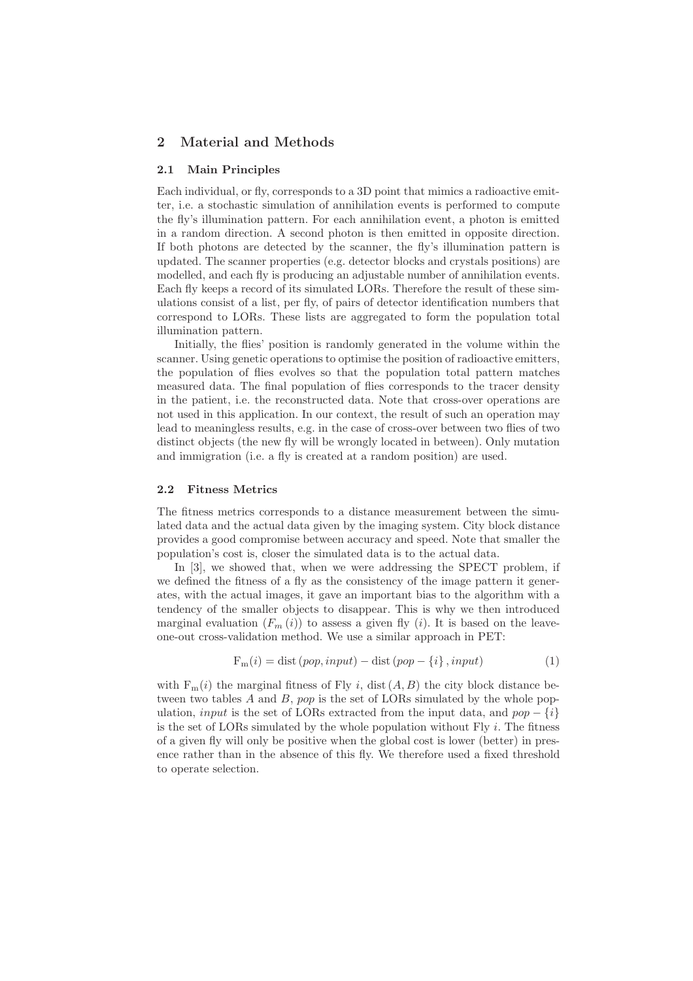## 2 Material and Methods

#### 2.1 Main Principles

Each individual, or fly, corresponds to a 3D point that mimics a radioactive emitter, i.e. a stochastic simulation of annihilation events is performed to compute the fly's illumination pattern. For each annihilation event, a photon is emitted in a random direction. A second photon is then emitted in opposite direction. If both photons are detected by the scanner, the fly's illumination pattern is updated. The scanner properties (e.g. detector blocks and crystals positions) are modelled, and each fly is producing an adjustable number of annihilation events. Each fly keeps a record of its simulated LORs. Therefore the result of these simulations consist of a list, per fly, of pairs of detector identification numbers that correspond to LORs. These lists are aggregated to form the population total illumination pattern.

Initially, the flies' position is randomly generated in the volume within the scanner. Using genetic operations to optimise the position of radioactive emitters, the population of flies evolves so that the population total pattern matches measured data. The final population of flies corresponds to the tracer density in the patient, i.e. the reconstructed data. Note that cross-over operations are not used in this application. In our context, the result of such an operation may lead to meaningless results, e.g. in the case of cross-over between two flies of two distinct objects (the new fly will be wrongly located in between). Only mutation and immigration (i.e. a fly is created at a random position) are used.

#### 2.2 Fitness Metrics

The fitness metrics corresponds to a distance measurement between the simulated data and the actual data given by the imaging system. City block distance provides a good compromise between accuracy and speed. Note that smaller the population's cost is, closer the simulated data is to the actual data.

In [3], we showed that, when we were addressing the SPECT problem, if we defined the fitness of a fly as the consistency of the image pattern it generates, with the actual images, it gave an important bias to the algorithm with a tendency of the smaller objects to disappear. This is why we then introduced marginal evaluation  $(F_m(i))$  to assess a given fly (i). It is based on the leaveone-out cross-validation method. We use a similar approach in PET:

$$
F_m(i) = dist (pop, input) - dist (pop - \{i\}, input)
$$
\n(1)

with  $F_m(i)$  the marginal fitness of Fly i, dist  $(A, B)$  the city block distance between two tables  $A$  and  $B$ , pop is the set of LORs simulated by the whole population, *input* is the set of LORs extracted from the input data, and  $pop - \{i\}$ is the set of LORs simulated by the whole population without Fly  $i$ . The fitness of a given fly will only be positive when the global cost is lower (better) in presence rather than in the absence of this fly. We therefore used a fixed threshold to operate selection.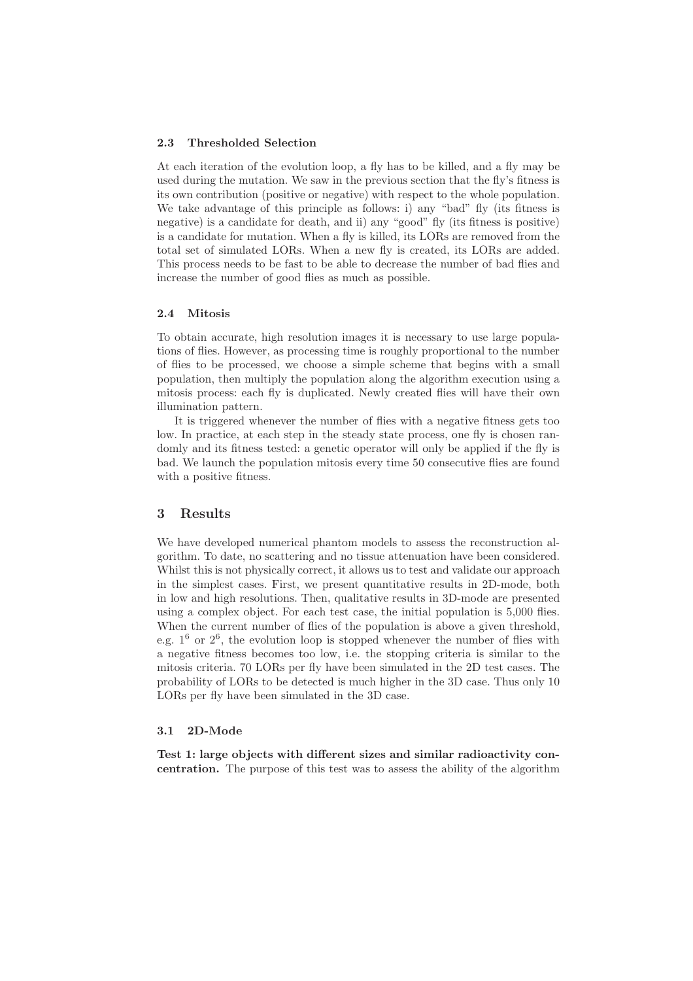#### 2.3 Thresholded Selection

At each iteration of the evolution loop, a fly has to be killed, and a fly may be used during the mutation. We saw in the previous section that the fly's fitness is its own contribution (positive or negative) with respect to the whole population. We take advantage of this principle as follows: i) any "bad" fly (its fitness is negative) is a candidate for death, and ii) any "good" fly (its fitness is positive) is a candidate for mutation. When a fly is killed, its LORs are removed from the total set of simulated LORs. When a new fly is created, its LORs are added. This process needs to be fast to be able to decrease the number of bad flies and increase the number of good flies as much as possible.

#### 2.4 Mitosis

To obtain accurate, high resolution images it is necessary to use large populations of flies. However, as processing time is roughly proportional to the number of flies to be processed, we choose a simple scheme that begins with a small population, then multiply the population along the algorithm execution using a mitosis process: each fly is duplicated. Newly created flies will have their own illumination pattern.

It is triggered whenever the number of flies with a negative fitness gets too low. In practice, at each step in the steady state process, one fly is chosen randomly and its fitness tested: a genetic operator will only be applied if the fly is bad. We launch the population mitosis every time 50 consecutive flies are found with a positive fitness.

### 3 Results

We have developed numerical phantom models to assess the reconstruction algorithm. To date, no scattering and no tissue attenuation have been considered. Whilst this is not physically correct, it allows us to test and validate our approach in the simplest cases. First, we present quantitative results in 2D-mode, both in low and high resolutions. Then, qualitative results in 3D-mode are presented using a complex object. For each test case, the initial population is 5,000 flies. When the current number of flies of the population is above a given threshold, e.g. 1<sup>6</sup> or 2<sup>6</sup> , the evolution loop is stopped whenever the number of flies with a negative fitness becomes too low, i.e. the stopping criteria is similar to the mitosis criteria. 70 LORs per fly have been simulated in the 2D test cases. The probability of LORs to be detected is much higher in the 3D case. Thus only 10 LORs per fly have been simulated in the 3D case.

#### 3.1 2D-Mode

Test 1: large objects with different sizes and similar radioactivity concentration. The purpose of this test was to assess the ability of the algorithm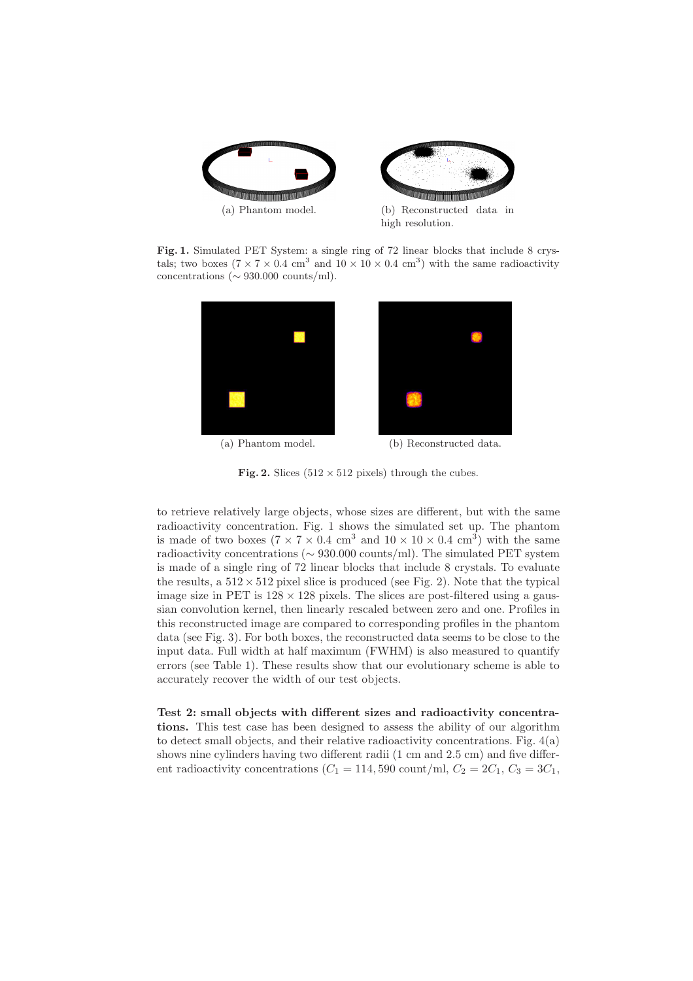

Fig. 1. Simulated PET System: a single ring of 72 linear blocks that include 8 crystals; two boxes  $(7 \times 7 \times 0.4 \text{ cm}^3 \text{ and } 10 \times 10 \times 0.4 \text{ cm}^3)$  with the same radioactivity concentrations ( $\sim$  930.000 counts/ml).



Fig. 2. Slices  $(512 \times 512 \text{ pixels})$  through the cubes.

to retrieve relatively large objects, whose sizes are different, but with the same radioactivity concentration. Fig. 1 shows the simulated set up. The phantom is made of two boxes  $(7 \times 7 \times 0.4 \text{ cm}^3 \text{ and } 10 \times 10 \times 0.4 \text{ cm}^3)$  with the same radioactivity concentrations ( $\sim$  930.000 counts/ml). The simulated PET system is made of a single ring of 72 linear blocks that include 8 crystals. To evaluate the results, a  $512 \times 512$  pixel slice is produced (see Fig. 2). Note that the typical image size in PET is  $128 \times 128$  pixels. The slices are post-filtered using a gaussian convolution kernel, then linearly rescaled between zero and one. Profiles in this reconstructed image are compared to corresponding profiles in the phantom data (see Fig. 3). For both boxes, the reconstructed data seems to be close to the input data. Full width at half maximum (FWHM) is also measured to quantify errors (see Table 1). These results show that our evolutionary scheme is able to accurately recover the width of our test objects.

Test 2: small objects with different sizes and radioactivity concentrations. This test case has been designed to assess the ability of our algorithm to detect small objects, and their relative radioactivity concentrations. Fig. 4(a) shows nine cylinders having two different radii (1 cm and 2.5 cm) and five different radioactivity concentrations  $(C_1 = 114, 590 \text{ count/ml}, C_2 = 2C_1, C_3 = 3C_1,$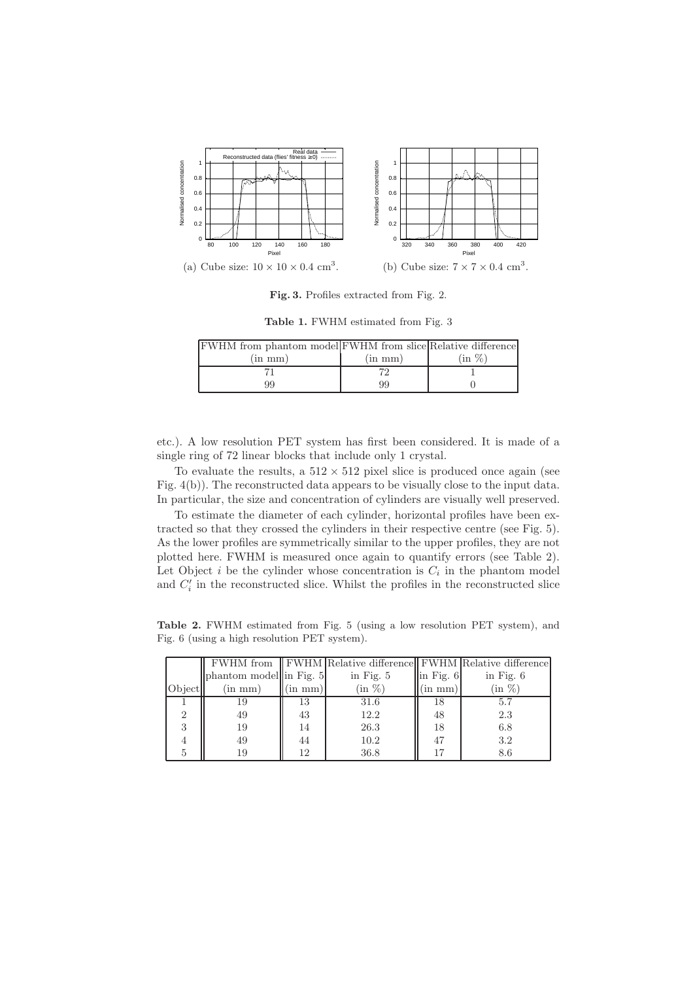

Fig. 3. Profiles extracted from Fig. 2.

Table 1. FWHM estimated from Fig. 3

| FWHM from phantom model FWHM from slice Relative difference |              |                              |
|-------------------------------------------------------------|--------------|------------------------------|
| $(in \; mm)$                                                | $(in \; mm)$ | $(\text{in } % \mathcal{H})$ |
|                                                             |              |                              |
| gg                                                          | 99           |                              |

etc.). A low resolution PET system has first been considered. It is made of a single ring of 72 linear blocks that include only 1 crystal.

To evaluate the results, a  $512 \times 512$  pixel slice is produced once again (see Fig. 4(b)). The reconstructed data appears to be visually close to the input data. In particular, the size and concentration of cylinders are visually well preserved.

To estimate the diameter of each cylinder, horizontal profiles have been extracted so that they crossed the cylinders in their respective centre (see Fig. 5). As the lower profiles are symmetrically similar to the upper profiles, they are not plotted here. FWHM is measured once again to quantify errors (see Table 2). Let Object *i* be the cylinder whose concentration is  $C_i$  in the phantom model and  $C_i'$  in the reconstructed slice. Whilst the profiles in the reconstructed slice

Table 2. FWHM estimated from Fig. 5 (using a low resolution PET system), and Fig. 6 (using a high resolution PET system).

|                |                         |              | FWHM from FWHM Relative difference FWHM Relative difference |              |             |
|----------------|-------------------------|--------------|-------------------------------------------------------------|--------------|-------------|
|                | phantom model in Fig. 5 |              | in Fig. 5                                                   | $\ln$ Fig. 6 | in Fig. $6$ |
| Object         | $(in \; mm)$            | $(in \; mm)$ | $(in \%)$                                                   | $(in \; mm)$ | $(in \%)$   |
|                |                         | 13           | 31.6                                                        | 18           | 5.7         |
| $\overline{2}$ | 49                      | 43           | 12.2                                                        | 48           | 2.3         |
| 3              | 19                      | 14           | 26.3                                                        | 18           | 6.8         |
| 4              | 49                      | 44           | 10.2                                                        | 47           | 3.2         |
|                |                         | 12           | 36.8                                                        |              | 8.6         |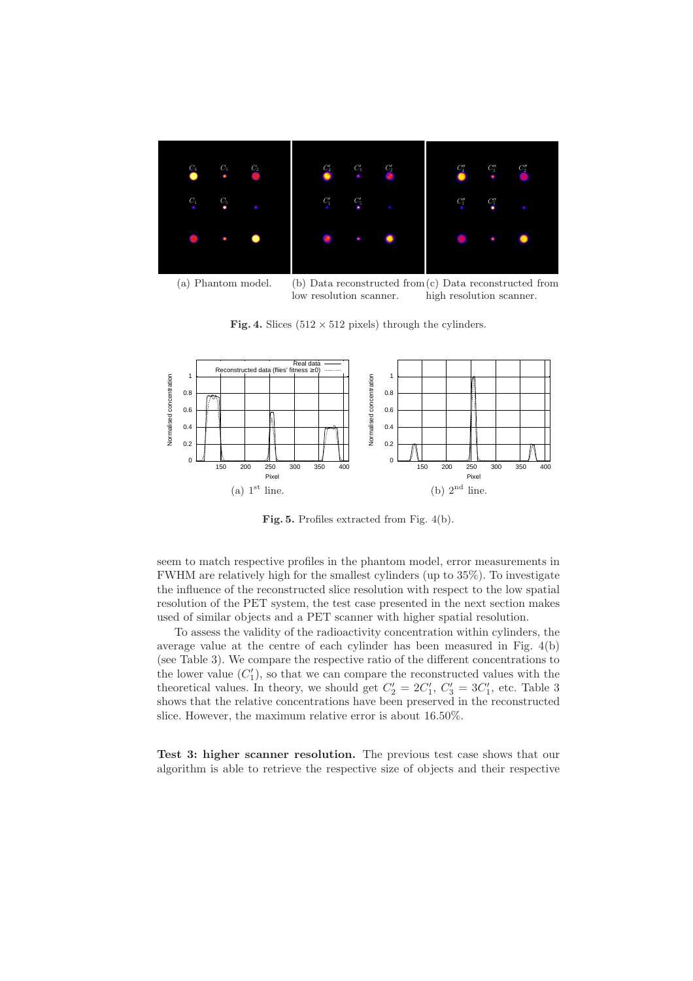

(a) Phantom model. (b) Data reconstructed from (c) Data reconstructed from low resolution scanner. high resolution scanner.

Fig. 4. Slices  $(512 \times 512 \text{ pixels})$  through the cylinders.



Fig. 5. Profiles extracted from Fig. 4(b).

seem to match respective profiles in the phantom model, error measurements in FWHM are relatively high for the smallest cylinders (up to 35%). To investigate the influence of the reconstructed slice resolution with respect to the low spatial resolution of the PET system, the test case presented in the next section makes used of similar objects and a PET scanner with higher spatial resolution.

To assess the validity of the radioactivity concentration within cylinders, the average value at the centre of each cylinder has been measured in Fig. 4(b) (see Table 3). We compare the respective ratio of the different concentrations to the lower value  $(C'_1)$ , so that we can compare the reconstructed values with the theoretical values. In theory, we should get  $C'_2 = 2C'_1$ ,  $C'_3 = 3C'_1$ , etc. Table 3 shows that the relative concentrations have been preserved in the reconstructed slice. However, the maximum relative error is about 16.50%.

Test 3: higher scanner resolution. The previous test case shows that our algorithm is able to retrieve the respective size of objects and their respective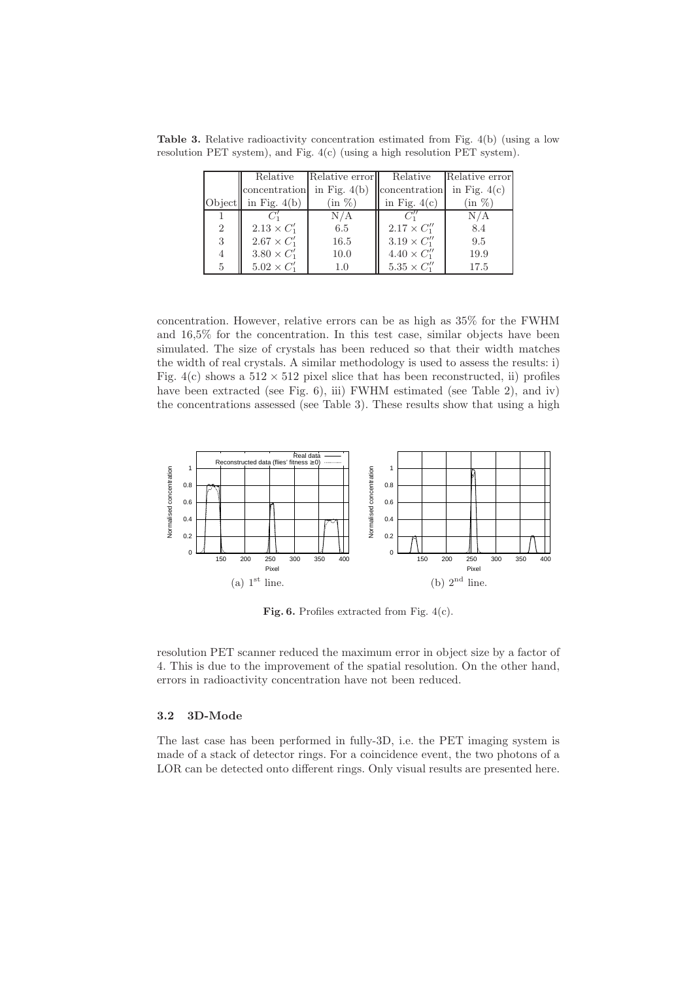Table 3. Relative radioactivity concentration estimated from Fig. 4(b) (using a low resolution PET system), and Fig. 4(c) (using a high resolution PET system).

|                |                              | Relative Relative error | Relative            | Relative error |
|----------------|------------------------------|-------------------------|---------------------|----------------|
|                | concentration in Fig. $4(b)$ |                         | concentration       | in Fig. $4(c)$ |
| Object         | in Fig. $4(b)$               | $(in \%)$               | in Fig. $4(c)$      | $(in \%)$      |
|                |                              | N/A                     | $C''_1$             | N/A            |
| $\overline{2}$ | $2.13 \times C'_1$           | 6.5                     | $2.17 \times C''_1$ | 8.4            |
| 3              | $2.67 \times C'_1$           | 16.5                    | $3.19 \times C''_1$ | 9.5            |
| $\overline{4}$ | $3.80 \times C'_1$           | 10.0                    | $4.40 \times C''_1$ | 19.9           |
| 5              | $5.02 \times C'_1$           | 1.0                     | $5.35 \times C''_1$ | 17.5           |

concentration. However, relative errors can be as high as 35% for the FWHM and 16,5% for the concentration. In this test case, similar objects have been simulated. The size of crystals has been reduced so that their width matches the width of real crystals. A similar methodology is used to assess the results: i) Fig. 4(c) shows a  $512 \times 512$  pixel slice that has been reconstructed, ii) profiles have been extracted (see Fig. 6), iii) FWHM estimated (see Table 2), and iv) the concentrations assessed (see Table 3). These results show that using a high



Fig. 6. Profiles extracted from Fig.  $4(c)$ .

resolution PET scanner reduced the maximum error in object size by a factor of 4. This is due to the improvement of the spatial resolution. On the other hand, errors in radioactivity concentration have not been reduced.

#### 3.2 3D-Mode

The last case has been performed in fully-3D, i.e. the PET imaging system is made of a stack of detector rings. For a coincidence event, the two photons of a LOR can be detected onto different rings. Only visual results are presented here.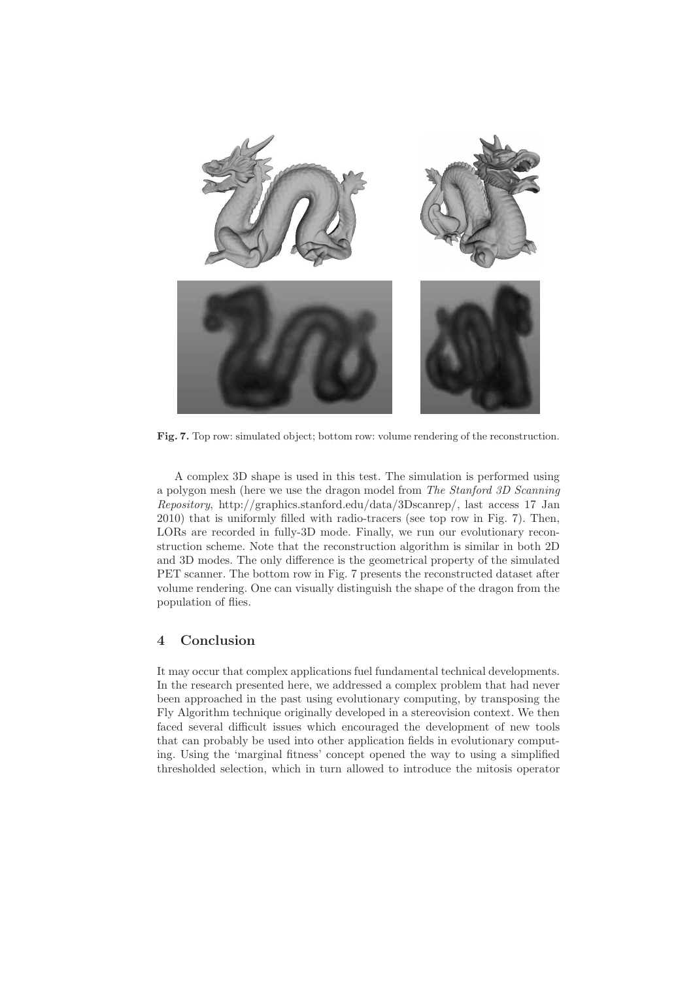

Fig. 7. Top row: simulated object; bottom row: volume rendering of the reconstruction.

A complex 3D shape is used in this test. The simulation is performed using a polygon mesh (here we use the dragon model from The Stanford 3D Scanning Repository, http://graphics.stanford.edu/data/3Dscanrep/, last access 17 Jan 2010) that is uniformly filled with radio-tracers (see top row in Fig. 7). Then, LORs are recorded in fully-3D mode. Finally, we run our evolutionary reconstruction scheme. Note that the reconstruction algorithm is similar in both 2D and 3D modes. The only difference is the geometrical property of the simulated PET scanner. The bottom row in Fig. 7 presents the reconstructed dataset after volume rendering. One can visually distinguish the shape of the dragon from the population of flies.

## 4 Conclusion

It may occur that complex applications fuel fundamental technical developments. In the research presented here, we addressed a complex problem that had never been approached in the past using evolutionary computing, by transposing the Fly Algorithm technique originally developed in a stereovision context. We then faced several difficult issues which encouraged the development of new tools that can probably be used into other application fields in evolutionary computing. Using the 'marginal fitness' concept opened the way to using a simplified thresholded selection, which in turn allowed to introduce the mitosis operator